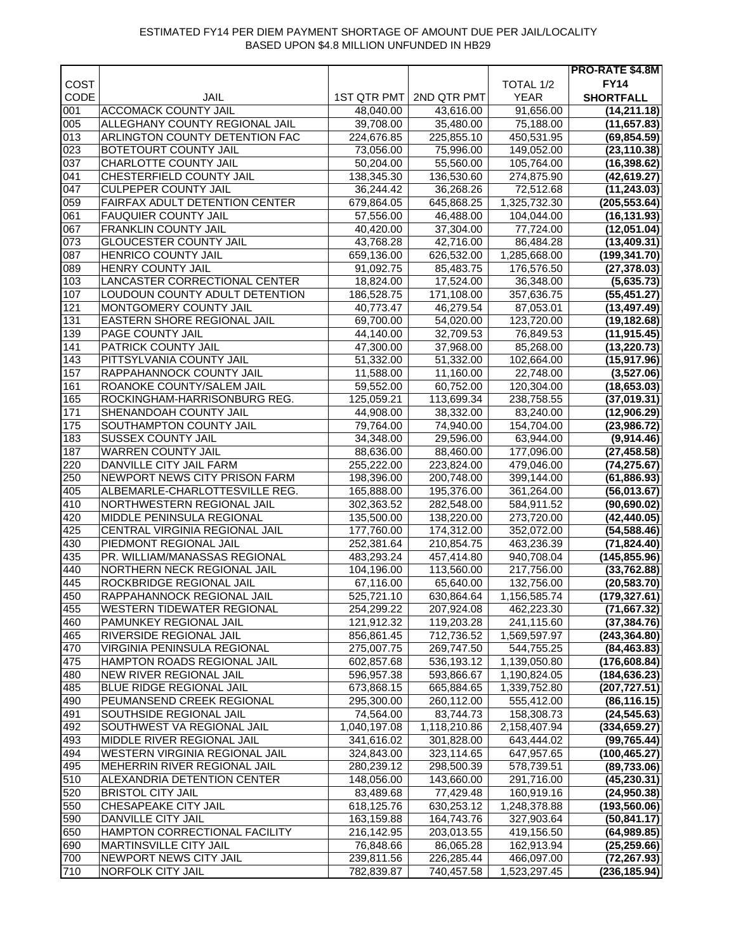## ESTIMATED FY14 PER DIEM PAYMENT SHORTAGE OF AMOUNT DUE PER JAIL/LOCALITY BASED UPON \$4.8 MILLION UNFUNDED IN HB29

|            |                                          |                         |                         |                          | <b>PRO-RATE \$4.8M</b>       |
|------------|------------------------------------------|-------------------------|-------------------------|--------------------------|------------------------------|
| COST       |                                          |                         |                         | TOTAL 1/2                | <b>FY14</b>                  |
| CODE       | JAIL                                     | <b>1ST QTR PMT</b>      | 2ND QTR PMT             | <b>YEAR</b>              | <b>SHORTFALL</b>             |
| 001        | <b>ACCOMACK COUNTY JAIL</b>              | 48,040.00               | 43,616.00               | 91,656.00                | (14, 211.18)                 |
| 005        | ALLEGHANY COUNTY REGIONAL JAIL           | 39,708.00               | 35,480.00               | 75,188.00                | (11, 657.83)                 |
| 013        | ARLINGTON COUNTY DETENTION FAC           | 224,676.85              | 225,855.10              | 450,531.95               | (69, 854.59)                 |
| 023        | BOTETOURT COUNTY JAIL                    | 73,056.00               | 75,996.00               | 149,052.00               | (23, 110.38)                 |
| 037        | CHARLOTTE COUNTY JAIL                    | 50,204.00               | 55,560.00               | 105,764.00               | (16, 398.62)                 |
| 041        | CHESTERFIELD COUNTY JAIL                 | 138,345.30              | 136,530.60              | 274,875.90               | (42, 619.27)                 |
| 047        | CULPEPER COUNTY JAIL                     | 36,244.42               | 36,268.26               | 72,512.68                | (11, 243.03)                 |
| 059        | FAIRFAX ADULT DETENTION CENTER           | 679,864.05              | 645,868.25              | 1,325,732.30             | (205, 553.64)                |
| 061        | FAUQUIER COUNTY JAIL                     | 57,556.00               | 46,488.00               | 104,044.00               | (16, 131.93)                 |
| 067        | FRANKLIN COUNTY JAIL                     | 40,420.00               | 37,304.00               | 77,724.00                | (12,051.04)                  |
| 073        | <b>GLOUCESTER COUNTY JAIL</b>            | 43,768.28               | 42,716.00               | 86,484.28                | (13, 409.31)                 |
| 087        | HENRICO COUNTY JAIL                      | 659,136.00              | 626,532.00              | 1,285,668.00             | (199, 341.70)                |
| 089        | HENRY COUNTY JAIL                        | 91,092.75               | 85,483.75               | 176,576.50               | (27, 378.03)                 |
| 103        | LANCASTER CORRECTIONAL CENTER            | 18,824.00               | 17,524.00               | 36,348.00                | (5,635.73)                   |
| 107        | LOUDOUN COUNTY ADULT DETENTION           | 186,528.75              | 171,108.00              | 357,636.75               | (55, 451.27)                 |
| 121        | MONTGOMERY COUNTY JAIL                   | 40,773.47               | 46,279.54               | 87,053.01                | (13, 497.49)                 |
| 131        | EASTERN SHORE REGIONAL JAIL              | 69,700.00               | 54,020.00               | 123,720.00               | (19, 182.68)                 |
| 139        | PAGE COUNTY JAIL                         | 44,140.00               | 32,709.53               | 76,849.53                | (11, 915.45)                 |
| 141        | PATRICK COUNTY JAIL                      | 47,300.00               | 37,968.00               | 85,268.00                | (13, 220.73)                 |
| 143        | PITTSYLVANIA COUNTY JAIL                 | $\overline{51}, 332.00$ | 51,332.00               | 102,664.00               | (15, 917.96)                 |
| 157        | RAPPAHANNOCK COUNTY JAIL                 | 11,588.00               | 11,160.00               | 22,748.00                | (3,527.06)                   |
| 161        | ROANOKE COUNTY/SALEM JAIL                | 59,552.00               | 60,752.00               | 120,304.00               | (18,653.03)                  |
| 165        | ROCKINGHAM-HARRISONBURG REG.             | 125,059.21              | 113,699.34              | 238,758.55               | (37,019.31)                  |
| 171        | SHENANDOAH COUNTY JAIL                   | 44,908.00               | 38,332.00               | 83,240.00                | (12,906.29)                  |
| 175        | SOUTHAMPTON COUNTY JAIL                  | 79,764.00               | 74,940.00               | 154,704.00               | (23,986.72)                  |
| 183        | SUSSEX COUNTY JAIL<br>WARREN COUNTY JAIL | 34,348.00               | 29,596.00               | 63,944.00                | (9,914.46)                   |
| 187<br>220 | DANVILLE CITY JAIL FARM                  | 88,636.00<br>255,222.00 | 88,460.00<br>223,824.00 | 177,096.00<br>479,046.00 | (27, 458.58)<br>(74, 275.67) |
| 250        | NEWPORT NEWS CITY PRISON FARM            | 198,396.00              | 200,748.00              | 399,144.00               | (61, 886.93)                 |
| 405        | ALBEMARLE-CHARLOTTESVILLE REG.           | 165,888.00              | 195,376.00              | 361,264.00               | (56,013.67)                  |
| 410        | NORTHWESTERN REGIONAL JAIL               | 302,363.52              | 282,548.00              | 584,911.52               | (90,690.02)                  |
| 420        | MIDDLE PENINSULA REGIONAL                | 135,500.00              | 138,220.00              | 273,720.00               | (42, 440.05)                 |
| 425        | CENTRAL VIRGINIA REGIONAL JAIL           | 177,760.00              | 174,312.00              | 352,072.00               | (54, 588.46)                 |
| 430        | PIEDMONT REGIONAL JAIL                   | 252,381.64              | 210,854.75              | 463,236.39               | (71, 824.40)                 |
| 435        | PR. WILLIAM/MANASSAS REGIONAL            | 483,293.24              | 457,414.80              | 940,708.04               | (145, 855.96)                |
| 440        | NORTHERN NECK REGIONAL JAIL              | 104,196.00              | 113,560.00              | 217,756.00               | (33, 762.88)                 |
| 445        | ROCKBRIDGE REGIONAL JAIL                 | 67,116.00               | 65,640.00               | 132,756.00               | (20, 583.70)                 |
| 450        | RAPPAHANNOCK REGIONAL JAIL               | 525,721.10              | 630,864.64              | 1,156,585.74             | (179, 327.61)                |
| 455        | WESTERN TIDEWATER REGIONAL               | 254,299.22              | 207,924.08              | 462,223.30               | (71, 667.32)                 |
| 460        | PAMUNKEY REGIONAL JAIL                   | 121,912.32              | 119,203.28              | 241,115.60               | (37, 384.76)                 |
| 465        | RIVERSIDE REGIONAL JAIL                  | 856,861.45              | 712,736.52              | 1,569,597.97             | (243, 364.80)                |
| 470        | VIRGINIA PENINSULA REGIONAL              | 275,007.75              | 269,747.50              | 544,755.25               | (84, 463.83)                 |
| 475        | HAMPTON ROADS REGIONAL JAIL              | 602,857.68              | 536,193.12              | 1,139,050.80             | (176, 608.84)                |
| 480        | NEW RIVER REGIONAL JAIL                  | 596,957.38              | 593,866.67              | 1,190,824.05             | (184, 636.23)                |
| 485        | BLUE RIDGE REGIONAL JAIL                 | 673,868.15              | 665,884.65              | 1,339,752.80             | (207, 727.51)                |
| 490        | PEUMANSEND CREEK REGIONAL                | 295,300.00              | 260,112.00              | 555,412.00               | (86, 116.15)                 |
| 491        | SOUTHSIDE REGIONAL JAIL                  | 74,564.00               | 83,744.73               | 158,308.73               | (24, 545.63)                 |
| 492        | SOUTHWEST VA REGIONAL JAIL               | 1,040,197.08            | 1,118,210.86            | 2,158,407.94             | (334, 659.27)                |
| 493        | MIDDLE RIVER REGIONAL JAIL               | 341,616.02              | 301,828.00              | 643,444.02               | (99, 765.44)                 |
| 494        | WESTERN VIRGINIA REGIONAL JAIL           | 324,843.00              | 323,114.65              | 647,957.65               | (100, 465.27)                |
| 495        | MEHERRIN RIVER REGIONAL JAIL             | 280,239.12              | 298,500.39              | 578,739.51               | (89, 733.06)                 |
| 510        | ALEXANDRIA DETENTION CENTER              | 148,056.00              | 143,660.00              | 291,716.00               | (45, 230.31)                 |
| 520        | <b>BRISTOL CITY JAIL</b>                 | 83,489.68               | 77,429.48               | 160,919.16               | (24, 950.38)                 |
| 550        | CHESAPEAKE CITY JAIL                     | 618,125.76              | 630,253.12              | 1,248,378.88             | (193, 560.06)                |
| 590        | DANVILLE CITY JAIL                       | 163,159.88              | 164,743.76              | 327,903.64               | (50, 841.17)                 |
| 650        | HAMPTON CORRECTIONAL FACILITY            | 216,142.95              | 203,013.55              | 419,156.50               | (64,989.85)                  |
| 690        | MARTINSVILLE CITY JAIL                   | 76,848.66               | 86,065.28               | 162,913.94               | (25, 259.66)                 |
| 700        | NEWPORT NEWS CITY JAIL                   | 239,811.56              | 226,285.44              | 466,097.00               | (72, 267.93)                 |
| 710        | NORFOLK CITY JAIL                        | 782,839.87              | 740,457.58              | 1,523,297.45             | (236, 185.94)                |